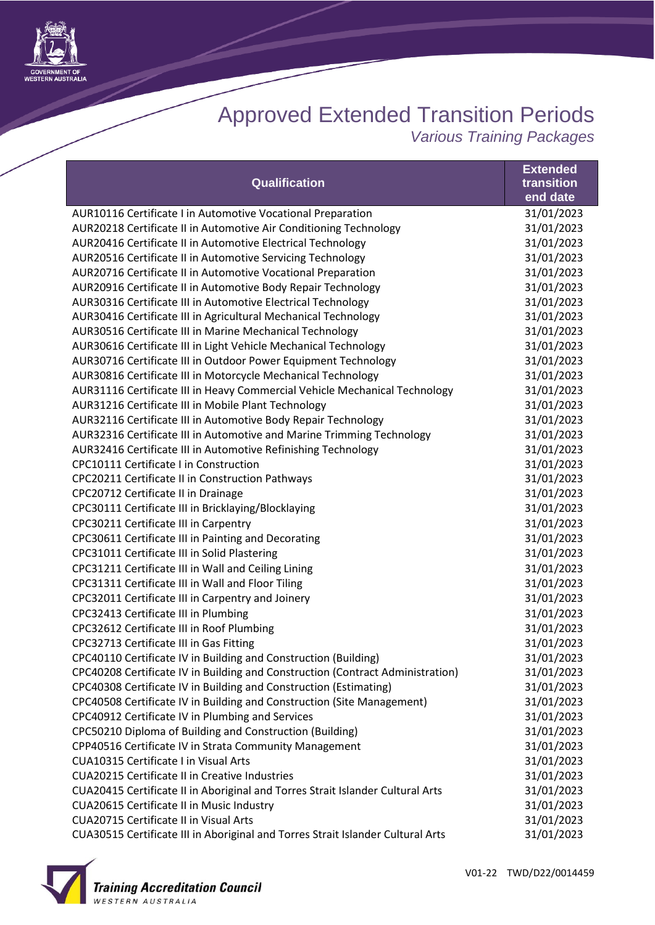

## Approved Extended Transition Periods

*Various Training Packages*

|                                                                                 | <b>Extended</b> |
|---------------------------------------------------------------------------------|-----------------|
| Qualification                                                                   | transition      |
|                                                                                 | end date        |
| AUR10116 Certificate I in Automotive Vocational Preparation                     | 31/01/2023      |
| AUR20218 Certificate II in Automotive Air Conditioning Technology               | 31/01/2023      |
| AUR20416 Certificate II in Automotive Electrical Technology                     | 31/01/2023      |
| AUR20516 Certificate II in Automotive Servicing Technology                      | 31/01/2023      |
| AUR20716 Certificate II in Automotive Vocational Preparation                    | 31/01/2023      |
| AUR20916 Certificate II in Automotive Body Repair Technology                    | 31/01/2023      |
| AUR30316 Certificate III in Automotive Electrical Technology                    | 31/01/2023      |
| AUR30416 Certificate III in Agricultural Mechanical Technology                  | 31/01/2023      |
| AUR30516 Certificate III in Marine Mechanical Technology                        | 31/01/2023      |
| AUR30616 Certificate III in Light Vehicle Mechanical Technology                 | 31/01/2023      |
| AUR30716 Certificate III in Outdoor Power Equipment Technology                  | 31/01/2023      |
| AUR30816 Certificate III in Motorcycle Mechanical Technology                    | 31/01/2023      |
| AUR31116 Certificate III in Heavy Commercial Vehicle Mechanical Technology      | 31/01/2023      |
| AUR31216 Certificate III in Mobile Plant Technology                             | 31/01/2023      |
| AUR32116 Certificate III in Automotive Body Repair Technology                   | 31/01/2023      |
| AUR32316 Certificate III in Automotive and Marine Trimming Technology           | 31/01/2023      |
| AUR32416 Certificate III in Automotive Refinishing Technology                   | 31/01/2023      |
| CPC10111 Certificate I in Construction                                          | 31/01/2023      |
| CPC20211 Certificate II in Construction Pathways                                | 31/01/2023      |
| CPC20712 Certificate II in Drainage                                             | 31/01/2023      |
| CPC30111 Certificate III in Bricklaying/Blocklaying                             | 31/01/2023      |
| CPC30211 Certificate III in Carpentry                                           | 31/01/2023      |
| CPC30611 Certificate III in Painting and Decorating                             | 31/01/2023      |
| CPC31011 Certificate III in Solid Plastering                                    | 31/01/2023      |
| CPC31211 Certificate III in Wall and Ceiling Lining                             | 31/01/2023      |
| CPC31311 Certificate III in Wall and Floor Tiling                               | 31/01/2023      |
| CPC32011 Certificate III in Carpentry and Joinery                               | 31/01/2023      |
| CPC32413 Certificate III in Plumbing                                            | 31/01/2023      |
| CPC32612 Certificate III in Roof Plumbing                                       | 31/01/2023      |
| CPC32713 Certificate III in Gas Fitting                                         | 31/01/2023      |
| CPC40110 Certificate IV in Building and Construction (Building)                 | 31/01/2023      |
| CPC40208 Certificate IV in Building and Construction (Contract Administration)  | 31/01/2023      |
| CPC40308 Certificate IV in Building and Construction (Estimating)               | 31/01/2023      |
| CPC40508 Certificate IV in Building and Construction (Site Management)          | 31/01/2023      |
| CPC40912 Certificate IV in Plumbing and Services                                | 31/01/2023      |
| CPC50210 Diploma of Building and Construction (Building)                        | 31/01/2023      |
| CPP40516 Certificate IV in Strata Community Management                          | 31/01/2023      |
| <b>CUA10315 Certificate I in Visual Arts</b>                                    | 31/01/2023      |
| <b>CUA20215 Certificate II in Creative Industries</b>                           | 31/01/2023      |
| CUA20415 Certificate II in Aboriginal and Torres Strait Islander Cultural Arts  | 31/01/2023      |
| CUA20615 Certificate II in Music Industry                                       | 31/01/2023      |
| <b>CUA20715 Certificate II in Visual Arts</b>                                   | 31/01/2023      |
| CUA30515 Certificate III in Aboriginal and Torres Strait Islander Cultural Arts | 31/01/2023      |
|                                                                                 |                 |

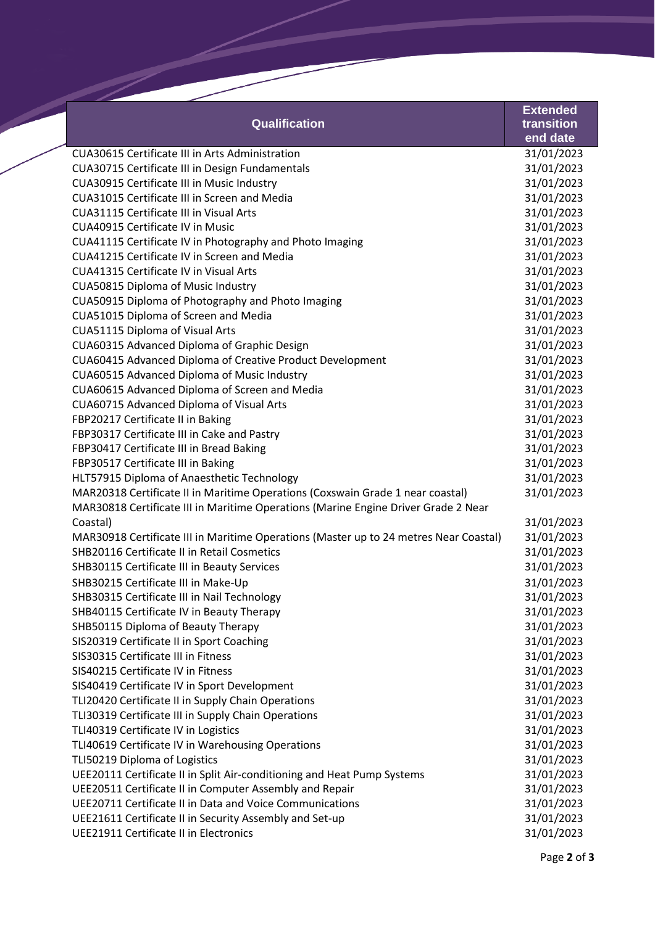|                                                |                                                                                       | <b>Extended</b> |
|------------------------------------------------|---------------------------------------------------------------------------------------|-----------------|
|                                                | <b>Qualification</b>                                                                  | transition      |
|                                                |                                                                                       | end date        |
|                                                | <b>CUA30615 Certificate III in Arts Administration</b>                                | 31/01/2023      |
|                                                | CUA30715 Certificate III in Design Fundamentals                                       | 31/01/2023      |
| CUA30915 Certificate III in Music Industry     |                                                                                       | 31/01/2023      |
|                                                | CUA31015 Certificate III in Screen and Media                                          | 31/01/2023      |
| <b>CUA31115 Certificate III in Visual Arts</b> |                                                                                       | 31/01/2023      |
| <b>CUA40915 Certificate IV in Music</b>        |                                                                                       | 31/01/2023      |
|                                                | CUA41115 Certificate IV in Photography and Photo Imaging                              | 31/01/2023      |
|                                                | CUA41215 Certificate IV in Screen and Media                                           | 31/01/2023      |
| <b>CUA41315 Certificate IV in Visual Arts</b>  |                                                                                       | 31/01/2023      |
| CUA50815 Diploma of Music Industry             |                                                                                       | 31/01/2023      |
|                                                | CUA50915 Diploma of Photography and Photo Imaging                                     | 31/01/2023      |
| CUA51015 Diploma of Screen and Media           |                                                                                       | 31/01/2023      |
| CUA51115 Diploma of Visual Arts                |                                                                                       | 31/01/2023      |
|                                                | CUA60315 Advanced Diploma of Graphic Design                                           | 31/01/2023      |
|                                                | CUA60415 Advanced Diploma of Creative Product Development                             | 31/01/2023      |
|                                                | CUA60515 Advanced Diploma of Music Industry                                           | 31/01/2023      |
|                                                | CUA60615 Advanced Diploma of Screen and Media                                         | 31/01/2023      |
| CUA60715 Advanced Diploma of Visual Arts       |                                                                                       | 31/01/2023      |
| FBP20217 Certificate II in Baking              |                                                                                       | 31/01/2023      |
| FBP30317 Certificate III in Cake and Pastry    |                                                                                       | 31/01/2023      |
| FBP30417 Certificate III in Bread Baking       |                                                                                       | 31/01/2023      |
| FBP30517 Certificate III in Baking             |                                                                                       | 31/01/2023      |
|                                                | HLT57915 Diploma of Anaesthetic Technology                                            | 31/01/2023      |
|                                                | MAR20318 Certificate II in Maritime Operations (Coxswain Grade 1 near coastal)        | 31/01/2023      |
|                                                | MAR30818 Certificate III in Maritime Operations (Marine Engine Driver Grade 2 Near    |                 |
| Coastal)                                       |                                                                                       | 31/01/2023      |
|                                                | MAR30918 Certificate III in Maritime Operations (Master up to 24 metres Near Coastal) | 31/01/2023      |
| SHB20116 Certificate II in Retail Cosmetics    |                                                                                       | 31/01/2023      |
| SHB30115 Certificate III in Beauty Services    |                                                                                       | 31/01/2023      |
| SHB30215 Certificate III in Make-Up            |                                                                                       | 31/01/2023      |
| SHB30315 Certificate III in Nail Technology    |                                                                                       | 31/01/2023      |
| SHB40115 Certificate IV in Beauty Therapy      |                                                                                       | 31/01/2023      |
| SHB50115 Diploma of Beauty Therapy             |                                                                                       | 31/01/2023      |
| SIS20319 Certificate II in Sport Coaching      |                                                                                       | 31/01/2023      |
| SIS30315 Certificate III in Fitness            |                                                                                       | 31/01/2023      |
| SIS40215 Certificate IV in Fitness             |                                                                                       | 31/01/2023      |
|                                                | SIS40419 Certificate IV in Sport Development                                          | 31/01/2023      |
|                                                | TLI20420 Certificate II in Supply Chain Operations                                    | 31/01/2023      |
|                                                | TLI30319 Certificate III in Supply Chain Operations                                   | 31/01/2023      |
| TLI40319 Certificate IV in Logistics           |                                                                                       | 31/01/2023      |
|                                                | TLI40619 Certificate IV in Warehousing Operations                                     | 31/01/2023      |
| TLI50219 Diploma of Logistics                  |                                                                                       | 31/01/2023      |
|                                                | UEE20111 Certificate II in Split Air-conditioning and Heat Pump Systems               | 31/01/2023      |
|                                                | UEE20511 Certificate II in Computer Assembly and Repair                               | 31/01/2023      |
|                                                | UEE20711 Certificate II in Data and Voice Communications                              | 31/01/2023      |
|                                                | UEE21611 Certificate II in Security Assembly and Set-up                               | 31/01/2023      |
| <b>UEE21911 Certificate II in Electronics</b>  |                                                                                       | 31/01/2023      |